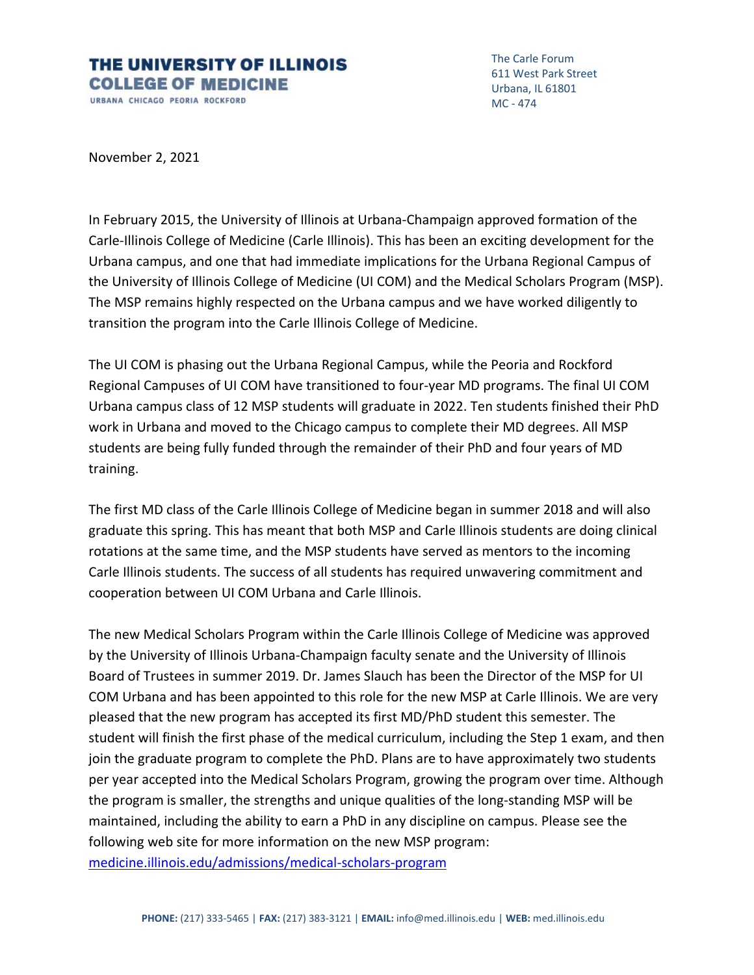## THE UNIVERSITY OF ILLINOIS **COLLEGE OF MEDICINE** URBANA CHICAGO PEORIA ROCKFORD

The Carle Forum 611 West Park Street Urbana, IL 61801 MC ‐ 474

November 2, 2021

In February 2015, the University of Illinois at Urbana‐Champaign approved formation of the Carle‐Illinois College of Medicine (Carle Illinois). This has been an exciting development for the Urbana campus, and one that had immediate implications for the Urbana Regional Campus of the University of Illinois College of Medicine (UI COM) and the Medical Scholars Program (MSP). The MSP remains highly respected on the Urbana campus and we have worked diligently to transition the program into the Carle Illinois College of Medicine.

The UI COM is phasing out the Urbana Regional Campus, while the Peoria and Rockford Regional Campuses of UI COM have transitioned to four‐year MD programs. The final UI COM Urbana campus class of 12 MSP students will graduate in 2022. Ten students finished their PhD work in Urbana and moved to the Chicago campus to complete their MD degrees. All MSP students are being fully funded through the remainder of their PhD and four years of MD training.

The first MD class of the Carle Illinois College of Medicine began in summer 2018 and will also graduate this spring. This has meant that both MSP and Carle Illinois students are doing clinical rotations at the same time, and the MSP students have served as mentors to the incoming Carle Illinois students. The success of all students has required unwavering commitment and cooperation between UI COM Urbana and Carle Illinois.

The new Medical Scholars Program within the Carle Illinois College of Medicine was approved by the University of Illinois Urbana‐Champaign faculty senate and the University of Illinois Board of Trustees in summer 2019. Dr. James Slauch has been the Director of the MSP for UI COM Urbana and has been appointed to this role for the new MSP at Carle Illinois. We are very pleased that the new program has accepted its first MD/PhD student this semester. The student will finish the first phase of the medical curriculum, including the Step 1 exam, and then join the graduate program to complete the PhD. Plans are to have approximately two students per year accepted into the Medical Scholars Program, growing the program over time. Although the program is smaller, the strengths and unique qualities of the long‐standing MSP will be maintained, including the ability to earn a PhD in any discipline on campus. Please see the following web site for more information on the new MSP program: medicine.illinois.edu/admissions/medical‐scholars‐program